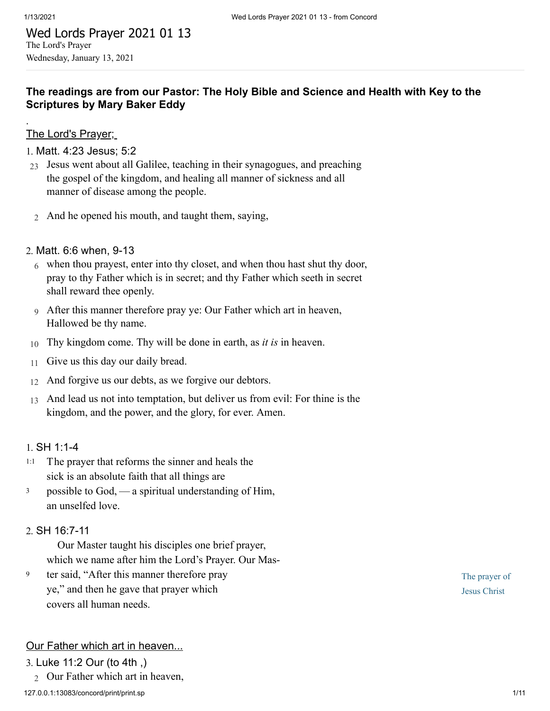.

## Wed Lords Prayer 2021 01 13 The Lord's Prayer Wednesday, January 13, 2021

## **The readings are from our Pastor: The Holy Bible and Science and Health with Key to the Scriptures by Mary Baker Eddy**

## The Lord's Prayer;

#### 1. [Matt. 4:23 Jesus; 5:2](http://www.concordworks.com/citation/Matt.%204:23%20Jesus;%205:2)

- 23 Jesus went about all Galilee, teaching in their synagogues, and preaching the gospel of the kingdom, and healing all manner of sickness and all manner of disease among the people.
- 2 And he opened his mouth, and taught them, saying,

#### 2. [Matt. 6:6 when, 9-13](http://www.concordworks.com/citation/Matt.%206:6%20when,%209-13)

- 6 when thou prayest, enter into thy closet, and when thou hast shut thy door, pray to thy Father which is in secret; and thy Father which seeth in secret shall reward thee openly.
- 9 After this manner therefore pray ye: Our Father which art in heaven, Hallowed be thy name.
- 10 Thy kingdom come. Thy will be done in earth, as *it is* in heaven.
- 11 Give us this day our daily bread.
- 12 And forgive us our debts, as we forgive our debtors.
- 13 And lead us not into temptation, but deliver us from evil: For thine is the kingdom, and the power, and the glory, for ever. Amen.

#### 1. [SH 1:1-4](http://www.concordworks.com/citation/SH%201:1-4)

- The prayer that reforms the sinner and heals the sick is an absolute faith that all things are 1:1
- possible to God, — a spiritual understanding of Him, an unselfed love. 3

#### 2. [SH 16:7-11](http://www.concordworks.com/citation/SH%2016:7-11)

 Our Master taught his disciples one brief prayer, which we name after him the Lord's Prayer. Our Mas-

ter said, "After this manner therefore pray ye," and then he gave that prayer which covers all human needs. 9

## Our Father which art in heaven...

#### 3. [Luke 11:2 Our \(to 4th ,\)](http://www.concordworks.com/citation/Luke%2011:2%20Our%20(to%204th%20,))

2 Our Father which art in heaven,

The prayer of Jesus Christ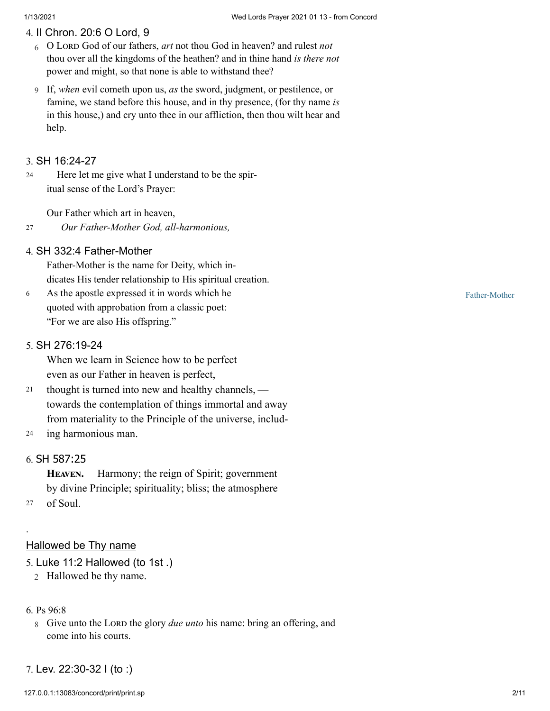#### 4. [II Chron. 20:6 O Lord, 9](http://www.concordworks.com/citation/II%20Chron.%2020:6%20O%20Lord,%209)

- 6 O L God of our fathers, *art* not thou God in heaven? and rulest *not* thou over all the kingdoms of the heathen? and in thine hand *is there not* power and might, so that none is able to withstand thee?
- 9 If, *when* evil cometh upon us, *as* the sword, judgment, or pestilence, or famine, we stand before this house, and in thy presence, (for thy name *is* in this house,) and cry unto thee in our affliction, then thou wilt hear and help.

#### 3. [SH 16:24-27](http://www.concordworks.com/citation/SH%2016:24-27)

 Here let me give what I understand to be the spir‐ itual sense of the Lord's Prayer: 24

Our Father which art in heaven,

#### *Our Father-Mother God, all-harmonious,* 27

#### 4. [SH 332:4 Father-Mother](http://www.concordworks.com/citation/SH%20332:4%20Father-Mother)

Father-Mother is the name for Deity, which in‐ dicates His tender relationship to His spiritual creation.

As the apostle expressed it in words which he quoted with approbation from a classic poet: "For we are also His offspring." 6

#### 5. [SH 276:19-24](http://www.concordworks.com/citation/SH%20276:19-24)

When we learn in Science how to be perfect even as our Father in heaven is perfect,

- thought is turned into new and healthy channels,  towards the contemplation of things immortal and away from materiality to the Principle of the universe, includ‐ 21
- ing harmonious man. 24

## 6. [SH 587:25](http://www.concordworks.com/citation/SH%20587:25)

HEAVEN. Harmony; the reign of Spirit; government by divine Principle; spirituality; bliss; the atmosphere

<sup>27</sup> of Soul.

.

#### Hallowed be Thy name

- 5. [Luke 11:2 Hallowed \(to 1st .\)](http://www.concordworks.com/citation/Luke%2011:2%20Hallowed%20(to%201st%20.))
	- 2 Hallowed be thy name.

#### 6. [Ps 96:8](http://www.concordworks.com/citation/Ps%2096:8)

- 8 Give unto the LORD the glory *due unto* his name: bring an offering, and come into his courts.
- 7. [Lev. 22:30-32 I \(to :\)](http://www.concordworks.com/citation/Lev.%2022:30-32%20I%20(to%20:))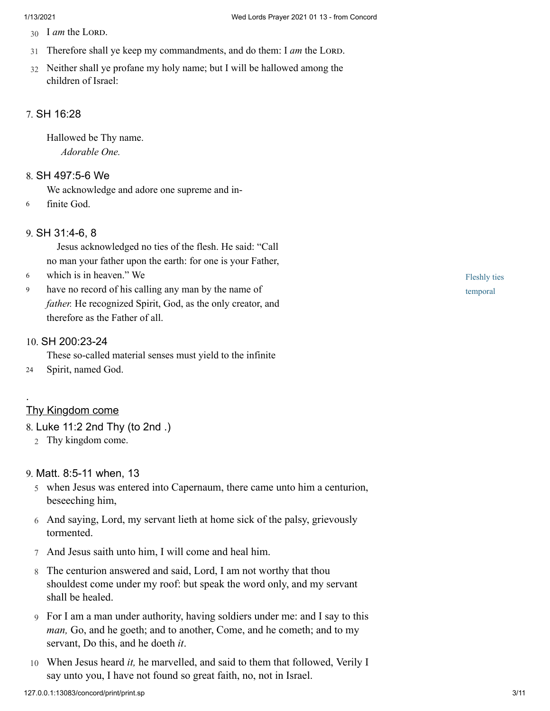- 30 I *am* the LORD.
- 31 Therefore shall ye keep my commandments, and do them: I am the LORD.
- 32 Neither shall ye profane my holy name; but I will be hallowed among the children of Israel:

#### 7. [SH 16:28](http://www.concordworks.com/citation/SH%2016:28)

Hallowed be Thy name. *Adorable One.*

#### 8. [SH 497:5-6 We](http://www.concordworks.com/citation/SH%20497:5-6%20We)

We acknowledge and adore one supreme and in-

6 finite God.

#### 9. [SH 31:4-6, 8](http://www.concordworks.com/citation/SH%2031:4-6,%208)

 Jesus acknowledged no ties of the flesh. He said: "Call no man your father upon the earth: for one is your Father,

- which is in heaven." We 6
- have no record of his calling any man by the name of *father.* He recognized Spirit, God, as the only creator, and therefore as the Father of all. 9

#### 10. [SH 200:23-24](http://www.concordworks.com/citation/SH%20200:23-24)

These so-called material senses must yield to the infinite

24 Spirit, named God.

#### Thy Kingdom come

.

8. [Luke 11:2 2nd Thy \(to 2nd .\)](http://www.concordworks.com/citation/Luke%2011:2%202nd%20Thy%20(to%202nd%20.))

2 Thy kingdom come.

#### 9. [Matt. 8:5-11 when, 13](http://www.concordworks.com/citation/Matt.%208:5-11%20when,%2013)

- 5 when Jesus was entered into Capernaum, there came unto him a centurion, beseeching him,
- 6 And saying, Lord, my servant lieth at home sick of the palsy, grievously tormented.
- 7 And Jesus saith unto him, I will come and heal him.
- 8 The centurion answered and said, Lord, I am not worthy that thou shouldest come under my roof: but speak the word only, and my servant shall be healed.
- 9 For I am a man under authority, having soldiers under me: and I say to this *man,* Go, and he goeth; and to another, Come, and he cometh; and to my servant, Do this, and he doeth *it*.
- 10 When Jesus heard *it,* he marvelled, and said to them that followed, Verily I say unto you, I have not found so great faith, no, not in Israel.

127.0.0.1:13083/concord/print/print.sp 3/11

Fleshly ties temporal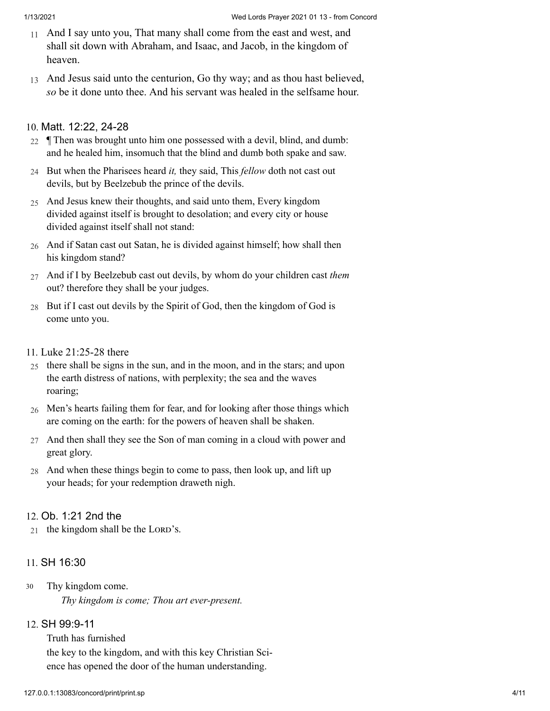- 11 And I say unto you, That many shall come from the east and west, and shall sit down with Abraham, and Isaac, and Jacob, in the kingdom of heaven.
- 13 And Jesus said unto the centurion, Go thy way; and as thou hast believed, *so* be it done unto thee. And his servant was healed in the selfsame hour.

## 10. [Matt. 12:22, 24-28](http://www.concordworks.com/citation/Matt.%2012:22,%2024-28)

- $_{22}$  | Then was brought unto him one possessed with a devil, blind, and dumb: and he healed him, insomuch that the blind and dumb both spake and saw.
- 24 But when the Pharisees heard *it,* they said, This *fellow* doth not cast out devils, but by Beelzebub the prince of the devils.
- 25 And Jesus knew their thoughts, and said unto them, Every kingdom divided against itself is brought to desolation; and every city or house divided against itself shall not stand:
- 26 And if Satan cast out Satan, he is divided against himself; how shall then his kingdom stand?
- 27 And if I by Beelzebub cast out devils, by whom do your children cast *them* out? therefore they shall be your judges.
- 28 But if I cast out devils by the Spirit of God, then the kingdom of God is come unto you.
- 11. [Luke 21:25-28 there](http://www.concordworks.com/citation/Luke%2021:25-28%20there)
- 25 there shall be signs in the sun, and in the moon, and in the stars; and upon the earth distress of nations, with perplexity; the sea and the waves roaring;
- 26 Men's hearts failing them for fear, and for looking after those things which are coming on the earth: for the powers of heaven shall be shaken.
- 27 And then shall they see the Son of man coming in a cloud with power and great glory.
- 28 And when these things begin to come to pass, then look up, and lift up your heads; for your redemption draweth nigh.

## 12. [Ob. 1:21 2nd the](http://www.concordworks.com/citation/Ob.%201:21%202nd%20the)

 $21$  the kingdom shall be the LORD's.

## 11. [SH 16:30](http://www.concordworks.com/citation/SH%2016:30)

Thy kingdom come. *Thy kingdom is come; Thou art ever-present.* 30

# 12. [SH 99:9-11](http://www.concordworks.com/citation/SH%2099:9-11)

Truth has furnished the key to the kingdom, and with this key Christian Sci‐ ence has opened the door of the human understanding.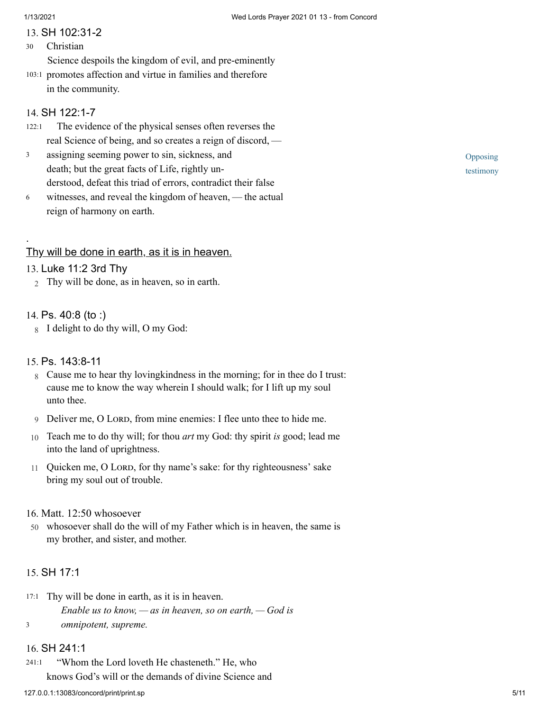## 13. [SH 102:31-2](http://www.concordworks.com/citation/SH%20102:31-2)

Christian 30

Science despoils the kingdom of evil, and pre-eminently

103:1 promotes affection and virtue in families and therefore in the community.

## 14. [SH 122:1-7](http://www.concordworks.com/citation/SH%20122:1-7)

- The evidence of the physical senses often reverses the real Science of being, and so creates a reign of discord, — 122:1
- assigning seeming power to sin, sickness, and death; but the great facts of Life, rightly un‐ derstood, defeat this triad of errors, contradict their false 3
- witnesses, and reveal the kingdom of heaven, the actual reign of harmony on earth. 6

## Thy will be done in earth, as it is in heaven.

## 13. [Luke 11:2 3rd Thy](http://www.concordworks.com/citation/Luke%2011:2%203rd%20Thy)

2 Thy will be done, as in heaven, so in earth.

## 14. [Ps. 40:8 \(to :\)](http://www.concordworks.com/citation/Ps.%2040:8%20(to%20:))

.

8 I delight to do thy will, O my God:

## 15. [Ps. 143:8-11](http://www.concordworks.com/citation/Ps.%20143:8-11)

- 8 Cause me to hear thy lovingkindness in the morning; for in thee do I trust: cause me to know the way wherein I should walk; for I lift up my soul unto thee.
- 9 Deliver me, O LORD, from mine enemies: I flee unto thee to hide me.
- 10 Teach me to do thy will; for thou *art* my God: thy spirit *is* good; lead me into the land of uprightness.
- 11 Quicken me, O LORD, for thy name's sake: for thy righteousness' sake bring my soul out of trouble.

## 16. [Matt. 12:50 whosoever](http://www.concordworks.com/citation/Matt.%2012:50%20whosoever)

50 whosoever shall do the will of my Father which is in heaven, the same is my brother, and sister, and mother.

# 15. [SH 17:1](http://www.concordworks.com/citation/SH%2017:1)

17:1 Thy will be done in earth, as it is in heaven. *Enable us to know, — as in heaven, so on earth, — God is omnipotent, supreme.* 3

## 16. [SH 241:1](http://www.concordworks.com/citation/SH%20241:1)

 "Whom the Lord loveth He chasteneth." He, who knows God's will or the demands of divine Science and 241:1

Opposing testimony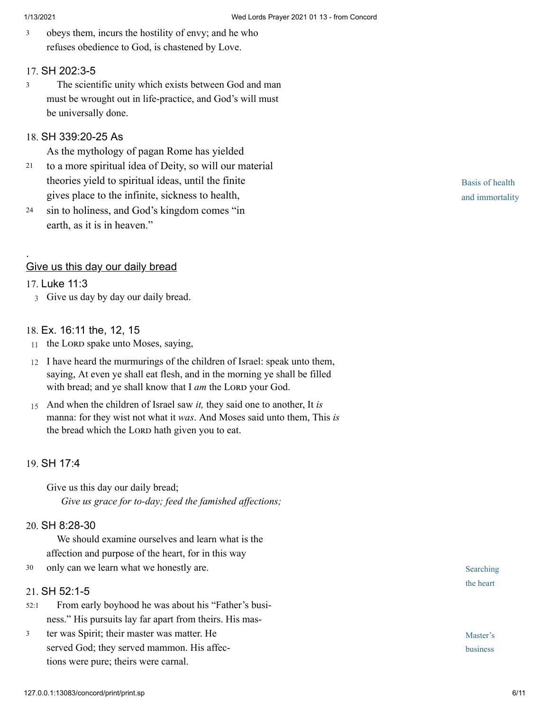obeys them, incurs the hostility of envy; and he who refuses obedience to God, is chastened by Love. 3

#### 17. [SH 202:3-5](http://www.concordworks.com/citation/SH%20202:3-5)

 The scientific unity which exists between God and man must be wrought out in life-practice, and God's will must be universally done. 3

## 18. [SH 339:20-25 As](http://www.concordworks.com/citation/SH%20339:20-25%20As)

As the mythology of pagan Rome has yielded

- to a more spiritual idea of Deity, so will our material theories yield to spiritual ideas, until the finite gives place to the infinite, sickness to health, 21
- sin to holiness, and God's kingdom comes "in earth, as it is in heaven." 24

#### Give us this day our daily bread

### 17. [Luke 11:3](http://www.concordworks.com/citation/Luke%2011:3)

.

3 Give us day by day our daily bread.

#### 18. [Ex. 16:11 the, 12, 15](http://www.concordworks.com/citation/Ex.%2016:11%20the,%2012,%2015)

- $11$  the LORD spake unto Moses, saying,
- 12 I have heard the murmurings of the children of Israel: speak unto them, saying, At even ye shall eat flesh, and in the morning ye shall be filled with bread; and ye shall know that I am the LORD your God.
- 15 And when the children of Israel saw *it,* they said one to another, It *is* manna: for they wist not what it *was*. And Moses said unto them, This *is* the bread which the LORD hath given you to eat.

#### 19. [SH 17:4](http://www.concordworks.com/citation/SH%2017:4)

Give us this day our daily bread; *Give us grace for to-day; feed the famished affections;*

#### 20. [SH 8:28-30](http://www.concordworks.com/citation/SH%208:28-30)

 We should examine ourselves and learn what is the affection and purpose of the heart, for in this way 30 only can we learn what we honestly are.

#### 21. [SH 52:1-5](http://www.concordworks.com/citation/SH%2052:1-5)

- From early boyhood he was about his "Father's busi‐ ness." His pursuits lay far apart from theirs. His mas‐ 52:1
- ter was Spirit; their master was matter. He served God; they served mammon. His affections were pure; theirs were carnal. 3

Basis of health and immortality

Searching the heart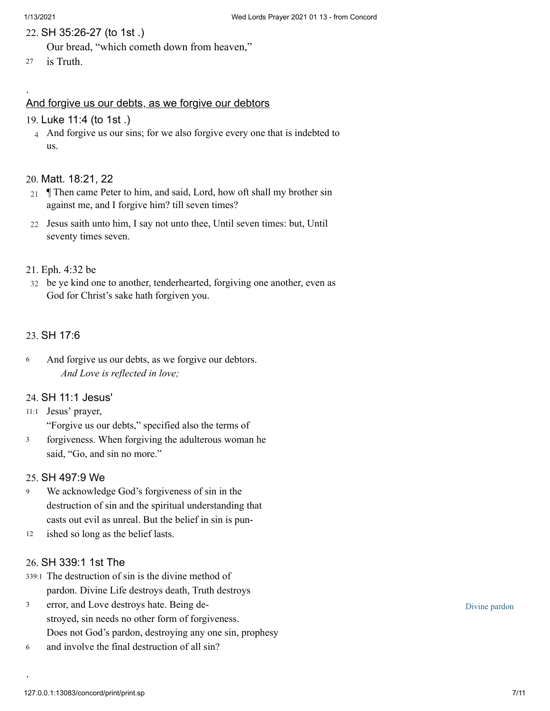.

#### 22. [SH 35:26-27 \(to 1st .\)](http://www.concordworks.com/citation/SH%2035:26-27%20(to%201st%20.))

Our bread, "which cometh down from heaven,"

<sup>27</sup> is Truth.

#### And forgive us our debts, as we forgive our debtors

#### 19. [Luke 11:4 \(to 1st .\)](http://www.concordworks.com/citation/Luke%2011:4%20(to%201st%20.))

4 And forgive us our sins; for we also forgive every one that is indebted to us.

### 20. [Matt. 18:21, 22](http://www.concordworks.com/citation/Matt.%2018:21,%2022)

- 21 ¶ Then came Peter to him, and said, Lord, how oft shall my brother sin against me, and I forgive him? till seven times?
- 22 Jesus saith unto him, I say not unto thee, Until seven times: but, Until seventy times seven.

#### 21. [Eph. 4:32 be](http://www.concordworks.com/citation/Eph.%204:32%20be)

32 be ye kind one to another, tenderhearted, forgiving one another, even as God for Christ's sake hath forgiven you.

### 23. [SH 17:6](http://www.concordworks.com/citation/SH%2017:6)

And forgive us our debts, as we forgive our debtors. *And Love is reflected in love;* 6

#### 24. [SH 11:1 Jesus'](http://www.concordworks.com/citation/SH%2011:1%20Jesus)

- 11:1 Jesus' prayer, "Forgive us our debts," specified also the terms of
- forgiveness. When forgiving the adulterous woman he said, "Go, and sin no more." 3

#### 25. [SH 497:9 We](http://www.concordworks.com/citation/SH%20497:9%20We)

- We acknowledge God's forgiveness of sin in the destruction of sin and the spiritual understanding that casts out evil as unreal. But the belief in sin is pun‐ 9
- ished so long as the belief lasts. 12

#### 26. [SH 339:1 1st The](http://www.concordworks.com/citation/SH%20339:1%201st%20The)

- 339:1 The destruction of sin is the divine method of pardon. Divine Life destroys death, Truth destroys
- error, and Love destroys hate. Being de‐ stroyed, sin needs no other form of forgiveness. Does not God's pardon, destroying any one sin, prophesy 3
- and involve the final destruction of all sin? 6

Divine pardon

.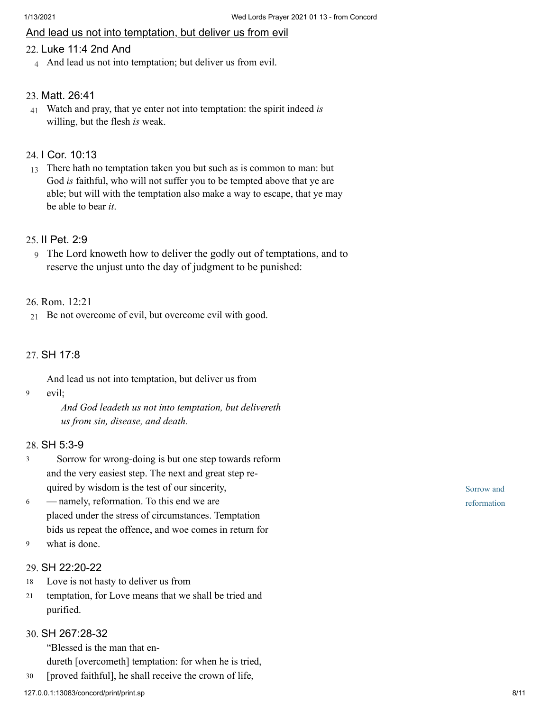### And lead us not into temptation, but deliver us from evil

## 22. [Luke 11:4 2nd And](http://www.concordworks.com/citation/Luke%2011:4%202nd%20And)

4 And lead us not into temptation; but deliver us from evil.

### 23. [Matt. 26:41](http://www.concordworks.com/citation/Matt.%2026:41)

41 Watch and pray, that ye enter not into temptation: the spirit indeed *is* willing, but the flesh *is* weak.

## 24. [I Cor. 10:13](http://www.concordworks.com/citation/I%20Cor.%2010:13)

13 There hath no temptation taken you but such as is common to man: but God *is* faithful, who will not suffer you to be tempted above that ye are able; but will with the temptation also make a way to escape, that ye may be able to bear *it*.

#### 25. [II Pet. 2:9](http://www.concordworks.com/citation/II%20Pet.%202:9)

9 The Lord knoweth how to deliver the godly out of temptations, and to reserve the unjust unto the day of judgment to be punished:

#### 26. [Rom. 12:21](http://www.concordworks.com/citation/Rom.%2012:21)

21 Be not overcome of evil, but overcome evil with good.

#### 27. [SH 17:8](http://www.concordworks.com/citation/SH%2017:8)

And lead us not into temptation, but deliver us from

evil; 9

> *And God leadeth us not into temptation, but delivereth us from sin, disease, and death.*

### 28. [SH 5:3-9](http://www.concordworks.com/citation/SH%205:3-9)

- Sorrow for wrong-doing is but one step towards reform and the very easiest step. The next and great step re‐ quired by wisdom is the test of our sincerity,  3
- — namely, reformation. To this end we are placed under the stress of circumstances. Temptation bids us repeat the offence, and woe comes in return for 6
- what is done. 9

#### 29. [SH 22:20-22](http://www.concordworks.com/citation/SH%2022:20-22)

- Love is not hasty to deliver us from 18
- temptation, for Love means that we shall be tried and purified. 21

### 30. [SH 267:28-32](http://www.concordworks.com/citation/SH%20267:28-32)

"Blessed is the man that en‐

dureth [overcometh] temptation: for when he is tried,

30 [proved faithful], he shall receive the crown of life,

Sorrow and reformation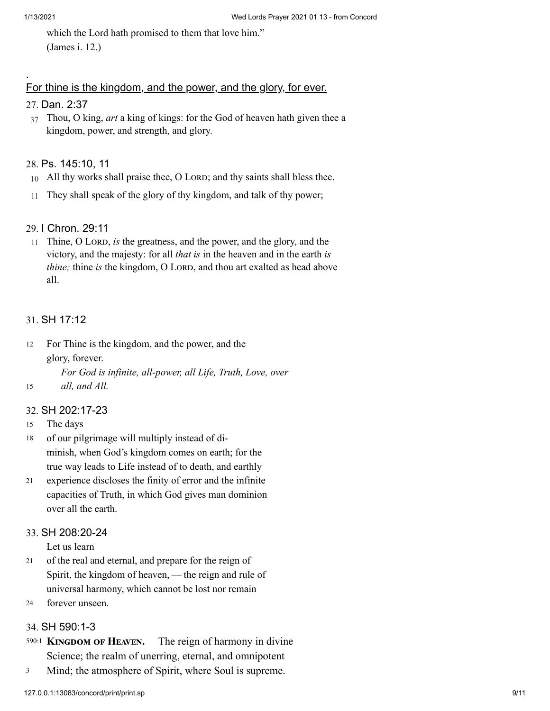.

which the Lord hath promised to them that love him." (James i. 12.)

## For thine is the kingdom, and the power, and the glory, for ever.

## 27. [Dan. 2:37](http://www.concordworks.com/citation/Dan.%202:37)

37 Thou, O king, *art* a king of kings: for the God of heaven hath given thee a kingdom, power, and strength, and glory.

#### 28. [Ps. 145:10, 11](http://www.concordworks.com/citation/Ps.%20145:10,%2011)

- 10 All thy works shall praise thee, O LORD; and thy saints shall bless thee.
- 11 They shall speak of the glory of thy kingdom, and talk of thy power;

#### 29. [I Chron. 29:11](http://www.concordworks.com/citation/I%20Chron.%2029:11)

11 Thine, O LORD, *is* the greatness, and the power, and the glory, and the victory, and the majesty: for all *that is* in the heaven and in the earth *is thine;* thine *is* the kingdom, O LORD, and thou art exalted as head above all.

#### 31. [SH 17:12](http://www.concordworks.com/citation/SH%2017:12)

For Thine is the kingdom, and the power, and the glory, forever. *For God is infinite, all-power, all Life, Truth, Love, over* 12

*all, and All.*

#### 32. [SH 202:17-23](http://www.concordworks.com/citation/SH%20202:17-23)

The days 15

15

- of our pilgrimage will multiply instead of di‐ minish, when God's kingdom comes on earth; for the true way leads to Life instead of to death, and earthly 18
- experience discloses the finity of error and the infinite capacities of Truth, in which God gives man dominion over all the earth. 21

#### 33. [SH 208:20-24](http://www.concordworks.com/citation/SH%20208:20-24)

Let us learn

- of the real and eternal, and prepare for the reign of Spirit, the kingdom of heaven, — the reign and rule of universal harmony, which cannot be lost nor remain 21
- forever unseen. 24

#### 34. [SH 590:1-3](http://www.concordworks.com/citation/SH%20590:1-3)

- The reign of harmony in divine Science; the realm of unerring, eternal, and omnipotent 590:1 KINGDOM OF HEAVEN.
- Mind; the atmosphere of Spirit, where Soul is supreme. 3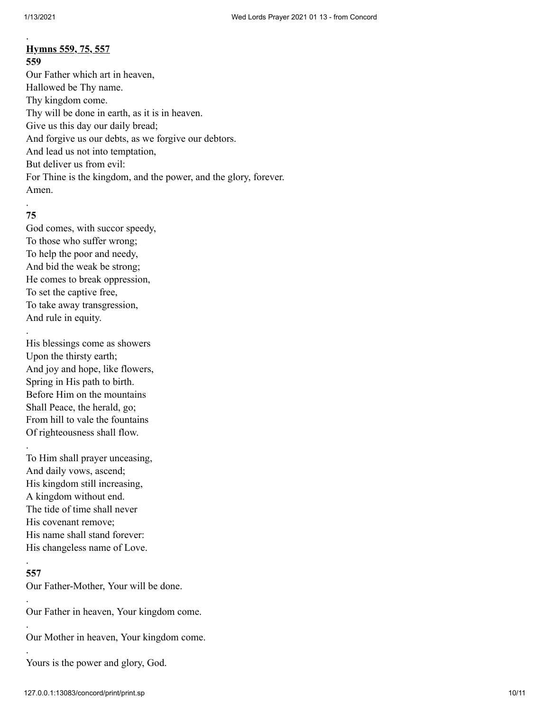## **Hymns 559, 75, 557**

**559**

.

Our Father which art in heaven, Hallowed be Thy name. Thy kingdom come. Thy will be done in earth, as it is in heaven. Give us this day our daily bread; And forgive us our debts, as we forgive our debtors. And lead us not into temptation, But deliver us from evil: For Thine is the kingdom, and the power, and the glory, forever. Amen.

#### . **75**

.

God comes, with succor speedy, To those who suffer wrong; To help the poor and needy, And bid the weak be strong; He comes to break oppression, To set the captive free, To take away transgression, And rule in equity.

His blessings come as showers Upon the thirsty earth; And joy and hope, like flowers, Spring in His path to birth. Before Him on the mountains Shall Peace, the herald, go; From hill to vale the fountains Of righteousness shall flow. .

To Him shall prayer unceasing, And daily vows, ascend; His kingdom still increasing, A kingdom without end. The tide of time shall never His covenant remove; His name shall stand forever: His changeless name of Love.

#### **557**

.

.

.

.

Our Father-Mother, Your will be done.

Our Father in heaven, Your kingdom come.

Our Mother in heaven, Your kingdom come.

Yours is the power and glory, God.